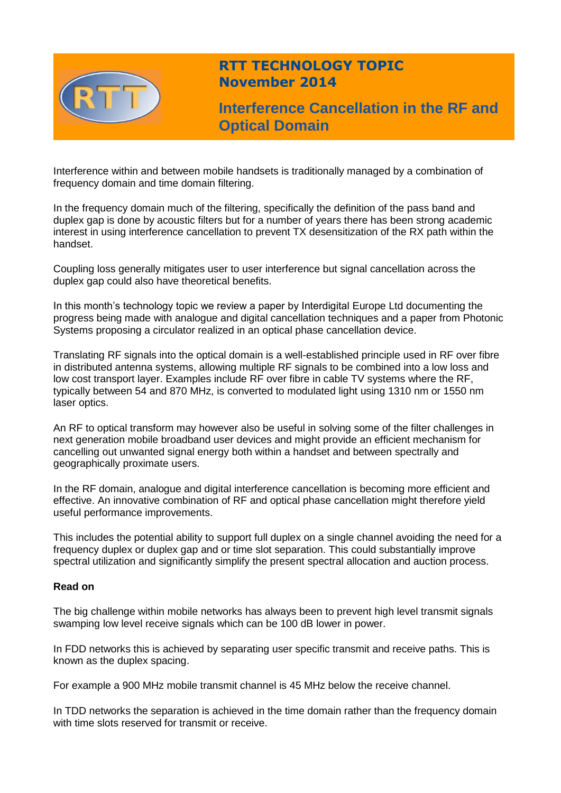

# **RTT TECHNOLOGY TOPIC November 2014**

**Interference Cancellation in the RF and Optical Domain**

Interference within and between mobile handsets is traditionally managed by a combination of frequency domain and time domain filtering.

In the frequency domain much of the filtering, specifically the definition of the pass band and duplex gap is done by acoustic filters but for a number of years there has been strong academic interest in using interference cancellation to prevent TX desensitization of the RX path within the handset.

Coupling loss generally mitigates user to user interference but signal cancellation across the duplex gap could also have theoretical benefits.

In this month's technology topic we review a paper by Interdigital Europe Ltd documenting the progress being made with analogue and digital cancellation techniques and a paper from Photonic Systems proposing a circulator realized in an optical phase cancellation device.

Translating RF signals into the optical domain is a well-established principle used in RF over fibre in distributed antenna systems, allowing multiple RF signals to be combined into a low loss and low cost transport layer. Examples include RF over fibre in cable TV systems where the RF, typically between 54 and 870 MHz, is converted to modulated light using 1310 nm or 1550 nm laser optics.

An RF to optical transform may however also be useful in solving some of the filter challenges in next generation mobile broadband user devices and might provide an efficient mechanism for cancelling out unwanted signal energy both within a handset and between spectrally and geographically proximate users.

In the RF domain, analogue and digital interference cancellation is becoming more efficient and effective. An innovative combination of RF and optical phase cancellation might therefore yield useful performance improvements.

This includes the potential ability to support full duplex on a single channel avoiding the need for a frequency duplex or duplex gap and or time slot separation. This could substantially improve spectral utilization and significantly simplify the present spectral allocation and auction process.

## **Read on**

The big challenge within mobile networks has always been to prevent high level transmit signals swamping low level receive signals which can be 100 dB lower in power.

In FDD networks this is achieved by separating user specific transmit and receive paths. This is known as the duplex spacing.

For example a 900 MHz mobile transmit channel is 45 MHz below the receive channel.

In TDD networks the separation is achieved in the time domain rather than the frequency domain with time slots reserved for transmit or receive.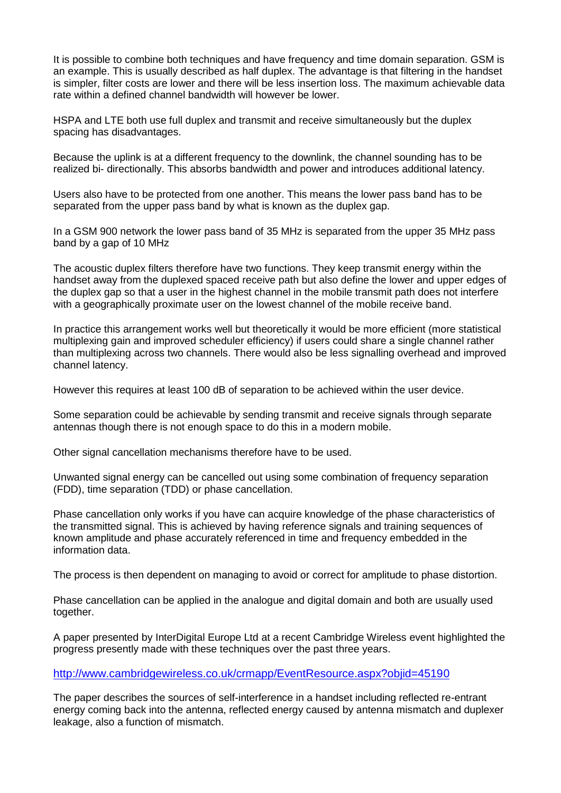It is possible to combine both techniques and have frequency and time domain separation. GSM is an example. This is usually described as half duplex. The advantage is that filtering in the handset is simpler, filter costs are lower and there will be less insertion loss. The maximum achievable data rate within a defined channel bandwidth will however be lower.

HSPA and LTE both use full duplex and transmit and receive simultaneously but the duplex spacing has disadvantages.

Because the uplink is at a different frequency to the downlink, the channel sounding has to be realized bi- directionally. This absorbs bandwidth and power and introduces additional latency.

Users also have to be protected from one another. This means the lower pass band has to be separated from the upper pass band by what is known as the duplex gap.

In a GSM 900 network the lower pass band of 35 MHz is separated from the upper 35 MHz pass band by a gap of 10 MHz

The acoustic duplex filters therefore have two functions. They keep transmit energy within the handset away from the duplexed spaced receive path but also define the lower and upper edges of the duplex gap so that a user in the highest channel in the mobile transmit path does not interfere with a geographically proximate user on the lowest channel of the mobile receive band.

In practice this arrangement works well but theoretically it would be more efficient (more statistical multiplexing gain and improved scheduler efficiency) if users could share a single channel rather than multiplexing across two channels. There would also be less signalling overhead and improved channel latency.

However this requires at least 100 dB of separation to be achieved within the user device.

Some separation could be achievable by sending transmit and receive signals through separate antennas though there is not enough space to do this in a modern mobile.

Other signal cancellation mechanisms therefore have to be used.

Unwanted signal energy can be cancelled out using some combination of frequency separation (FDD), time separation (TDD) or phase cancellation.

Phase cancellation only works if you have can acquire knowledge of the phase characteristics of the transmitted signal. This is achieved by having reference signals and training sequences of known amplitude and phase accurately referenced in time and frequency embedded in the information data.

The process is then dependent on managing to avoid or correct for amplitude to phase distortion.

Phase cancellation can be applied in the analogue and digital domain and both are usually used together.

A paper presented by InterDigital Europe Ltd at a recent Cambridge Wireless event highlighted the progress presently made with these techniques over the past three years.

<http://www.cambridgewireless.co.uk/crmapp/EventResource.aspx?objid=45190>

The paper describes the sources of self-interference in a handset including reflected re-entrant energy coming back into the antenna, reflected energy caused by antenna mismatch and duplexer leakage, also a function of mismatch.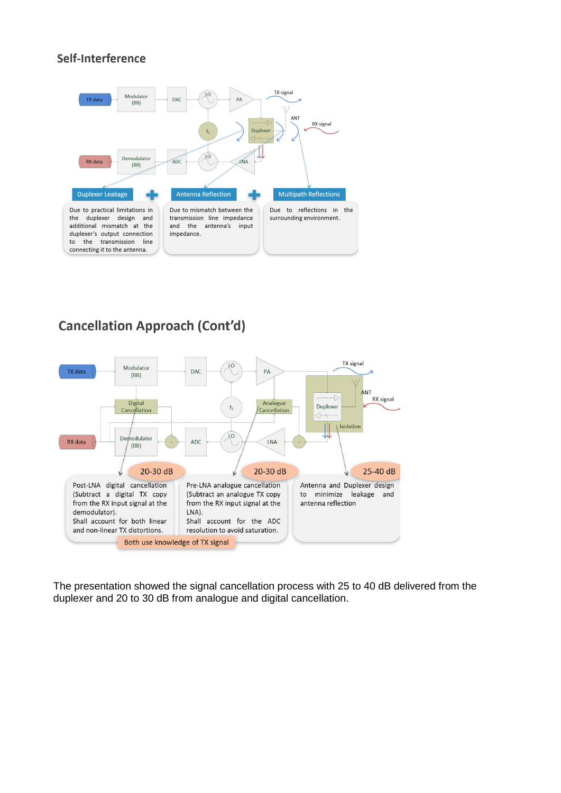# Self-Interference



# **Cancellation Approach (Cont'd)**



The presentation showed the signal cancellation process with 25 to 40 dB delivered from the duplexer and 20 to 30 dB from analogue and digital cancellation.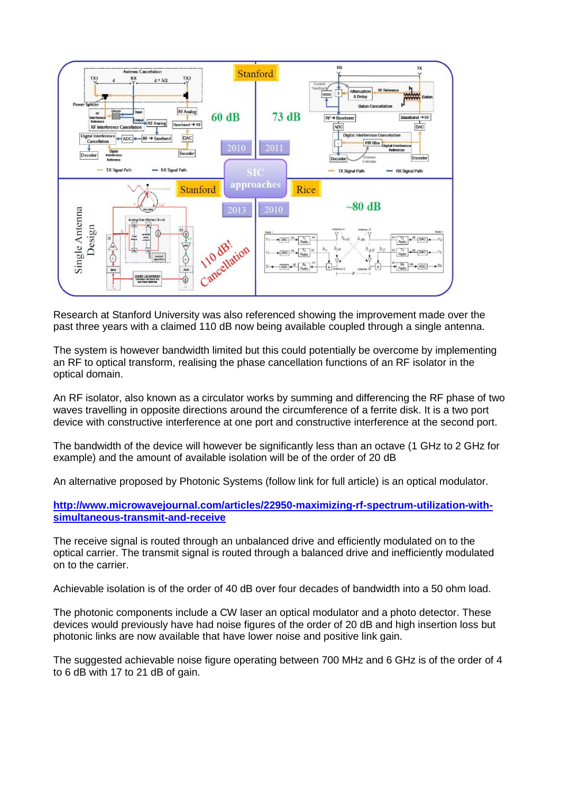

Research at Stanford University was also referenced showing the improvement made over the past three years with a claimed 110 dB now being available coupled through a single antenna.

The system is however bandwidth limited but this could potentially be overcome by implementing an RF to optical transform, realising the phase cancellation functions of an RF isolator in the optical domain.

An RF isolator, also known as a circulator works by summing and differencing the RF phase of two waves travelling in opposite directions around the circumference of a ferrite disk. It is a two port device with constructive interference at one port and constructive interference at the second port.

The bandwidth of the device will however be significantly less than an octave (1 GHz to 2 GHz for example) and the amount of available isolation will be of the order of 20 dB

An alternative proposed by Photonic Systems (follow link for full article) is an optical modulator.

**[http://www.microwavejournal.com/articles/22950-maximizing-rf-spectrum-utilization-with](http://www.microwavejournal.com/articles/22950-maximizing-rf-spectrum-utilization-with-simultaneous-transmit-and-receive)[simultaneous-transmit-and-receive](http://www.microwavejournal.com/articles/22950-maximizing-rf-spectrum-utilization-with-simultaneous-transmit-and-receive)**

The receive signal is routed through an unbalanced drive and efficiently modulated on to the optical carrier. The transmit signal is routed through a balanced drive and inefficiently modulated on to the carrier.

Achievable isolation is of the order of 40 dB over four decades of bandwidth into a 50 ohm load.

The photonic components include a CW laser an optical modulator and a photo detector. These devices would previously have had noise figures of the order of 20 dB and high insertion loss but photonic links are now available that have lower noise and positive link gain.

The suggested achievable noise figure operating between 700 MHz and 6 GHz is of the order of 4 to 6 dB with 17 to 21 dB of gain.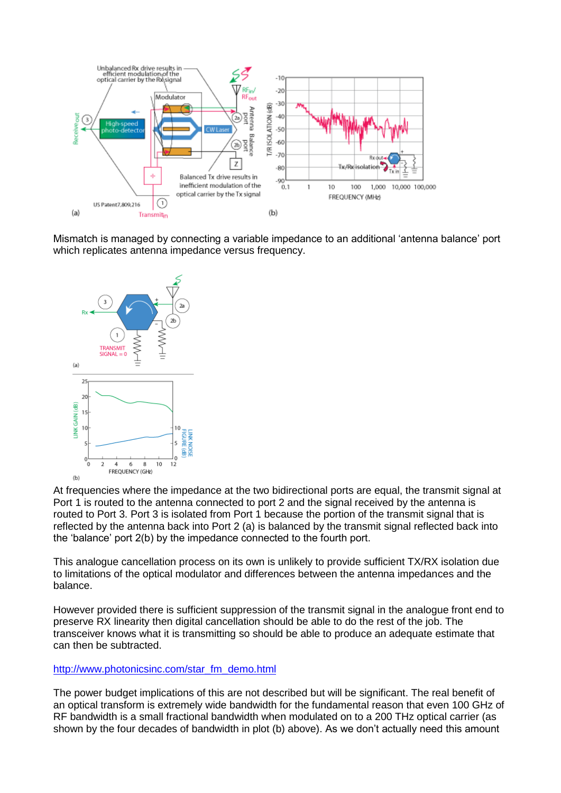

Mismatch is managed by connecting a variable impedance to an additional 'antenna balance' port which replicates antenna impedance versus frequency.



At frequencies where the impedance at the two bidirectional ports are equal, the transmit signal at Port 1 is routed to the antenna connected to port 2 and the signal received by the antenna is routed to Port 3. Port 3 is isolated from Port 1 because the portion of the transmit signal that is reflected by the antenna back into Port 2 (a) is balanced by the transmit signal reflected back into the 'balance' port 2(b) by the impedance connected to the fourth port.

This analogue cancellation process on its own is unlikely to provide sufficient TX/RX isolation due to limitations of the optical modulator and differences between the antenna impedances and the balance.

However provided there is sufficient suppression of the transmit signal in the analogue front end to preserve RX linearity then digital cancellation should be able to do the rest of the job. The transceiver knows what it is transmitting so should be able to produce an adequate estimate that can then be subtracted.

#### [http://www.photonicsinc.com/star\\_fm\\_demo.html](http://www.photonicsinc.com/star_fm_demo.html)

The power budget implications of this are not described but will be significant. The real benefit of an optical transform is extremely wide bandwidth for the fundamental reason that even 100 GHz of RF bandwidth is a small fractional bandwidth when modulated on to a 200 THz optical carrier (as shown by the four decades of bandwidth in plot (b) above). As we don't actually need this amount